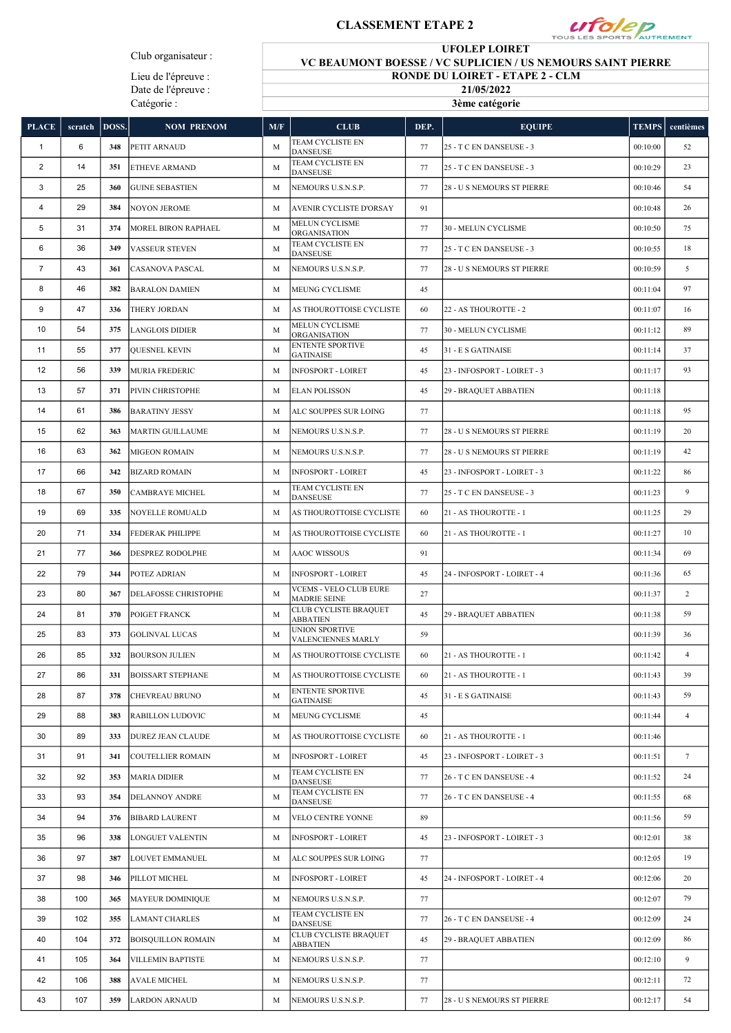## CLASSEMENT ETAPE 2



Club organisateur :

Lieu de l'épreuve : Date de l'épreuve : Catégorie :

UFOLEP LOIRET VC BEAUMONT BOESSE / VC SUPLICIEN / US NEMOURS SAINT PIERRE

RONDE DU LOIRET - ETAPE 2 - CLM

21/05/2022 3ème catégorie

| <b>PLACE</b>            | scratch | DOSS. | <b>NOM PRENOM</b>           | M/F | <b>CLUB</b>                                          | DEP. | <b>EQUIPE</b>                     | <b>TEMPS</b> | centièmes      |
|-------------------------|---------|-------|-----------------------------|-----|------------------------------------------------------|------|-----------------------------------|--------------|----------------|
| $\mathbf{1}$            | 6       | 348   | <b>PETIT ARNAUD</b>         | M   | TEAM CYCLISTE EN<br><b>DANSEUSE</b>                  | 77   | 25 - T C EN DANSEUSE - 3          | 00:10:00     | 52             |
| $\overline{\mathbf{c}}$ | 14      | 351   | <b>ETHEVE ARMAND</b>        | M   | TEAM CYCLISTE EN<br><b>DANSEUSE</b>                  | 77   | 25 - T C EN DANSEUSE - 3          | 00:10:29     | 23             |
| 3                       | 25      | 360   | <b>GUINE SEBASTIEN</b>      | M   | NEMOURS U.S.N.S.P.                                   | 77   | <b>28 - U S NEMOURS ST PIERRE</b> | 00:10:46     | 54             |
| 4                       | 29      | 384   | <b>NOYON JEROME</b>         | M   | AVENIR CYCLISTE D'ORSAY                              | 91   |                                   | 00:10:48     | 26             |
| 5                       | 31      | 374   | MOREL BIRON RAPHAEL         | M   | <b>MELUN CYCLISME</b><br>ORGANISATION                | 77   | 30 - MELUN CYCLISME               | 00:10:50     | 75             |
| 6                       | 36      | 349   | <b>VASSEUR STEVEN</b>       | M   | TEAM CYCLISTE EN<br><b>DANSEUSE</b>                  | 77   | 25 - T C EN DANSEUSE - 3          | 00:10:55     | 18             |
| $\overline{7}$          | 43      | 361   | CASANOVA PASCAL             | M   | NEMOURS U.S.N.S.P.                                   | 77   | 28 - U S NEMOURS ST PIERRE        | 00:10:59     | 5              |
| 8                       | 46      | 382   | <b>BARALON DAMIEN</b>       | M   | MEUNG CYCLISME                                       | 45   |                                   | 00:11:04     | 97             |
| 9                       | 47      | 336   | <b>THERY JORDAN</b>         | M   | AS THOUROTTOISE CYCLISTE                             | 60   | 22 - AS THOUROTTE - 2             | 00:11:07     | 16             |
| 10                      | 54      | 375   | <b>LANGLOIS DIDIER</b>      | M   | <b>MELUN CYCLISME</b><br>ORGANISATION                | 77   | 30 - MELUN CYCLISME               | 00:11:12     | 89             |
| 11                      | 55      | 377   | QUESNEL KEVIN               | M   | <b>ENTENTE SPORTIVE</b><br><b>GATINAISE</b>          | 45   | 31 - E S GATINAISE                | 00:11:14     | 37             |
| 12                      | 56      | 339   | <b>MURIA FREDERIC</b>       | M   | <b>INFOSPORT - LOIRET</b>                            | 45   | 23 - INFOSPORT - LOIRET - 3       | 00:11:17     | 93             |
| 13                      | 57      | 371   | PIVIN CHRISTOPHE            | M   | <b>ELAN POLISSON</b>                                 | 45   | 29 - BRAQUET ABBATIEN             | 00:11:18     |                |
| 14                      | 61      | 386   | <b>BARATINY JESSY</b>       | M   | ALC SOUPPES SUR LOING                                | 77   |                                   | 00:11:18     | 95             |
| 15                      | 62      | 363   | <b>MARTIN GUILLAUME</b>     | M   | NEMOURS U.S.N.S.P.                                   | 77   | 28 - U S NEMOURS ST PIERRE        | 00:11:19     | 20             |
| 16                      | 63      | 362   | MIGEON ROMAIN               | M   | NEMOURS U.S.N.S.P.                                   | 77   | 28 - U S NEMOURS ST PIERRE        | 00:11:19     | 42             |
| 17                      | 66      | 342   | <b>BIZARD ROMAIN</b>        | M   | <b>INFOSPORT - LOIRET</b>                            | 45   | 23 - INFOSPORT - LOIRET - 3       | 00:11:22     | 86             |
| 18                      | 67      | 350   | <b>CAMBRAYE MICHEL</b>      | M   | TEAM CYCLISTE EN<br><b>DANSEUSE</b>                  | 77   | 25 - T C EN DANSEUSE - 3          | 00:11:23     | 9              |
| 19                      | 69      | 335   | NOYELLE ROMUALD             | M   | AS THOUROTTOISE CYCLISTE                             | 60   | 21 - AS THOUROTTE - 1             | 00:11:25     | 29             |
| 20                      | 71      | 334   | <b>FEDERAK PHILIPPE</b>     | M   | AS THOUROTTOISE CYCLISTE                             | 60   | 21 - AS THOUROTTE - 1             | 00:11:27     | 10             |
| 21                      | 77      | 366   | <b>DESPREZ RODOLPHE</b>     | M   | <b>AAOC WISSOUS</b>                                  | 91   |                                   | 00:11:34     | 69             |
| 22                      | 79      | 344   | POTEZ ADRIAN                | M   | <b>INFOSPORT - LOIRET</b>                            | 45   | 24 - INFOSPORT - LOIRET - 4       | 00:11:36     | 65             |
| 23                      | 80      | 367   | <b>DELAFOSSE CHRISTOPHE</b> | M   | <b>VCEMS - VELO CLUB EURE</b><br><b>MADRIE SEINE</b> | 27   |                                   | 00:11:37     | $\overline{2}$ |
| 24                      | 81      | 370   | POIGET FRANCK               | M   | CLUB CYCLISTE BRAQUET<br><b>ABBATIEN</b>             | 45   | 29 - BRAQUET ABBATIEN             | 00:11:38     | 59             |
| 25                      | 83      | 373   | <b>GOLINVAL LUCAS</b>       | M   | UNION SPORTIVE<br>VALENCIENNES MARLY                 | 59   |                                   | 00:11:39     | 36             |
| 26                      | 85      | 332   | <b>BOURSON JULIEN</b>       | M   | AS THOUROTTOISE CYCLISTE                             | 60   | 21 - AS THOUROTTE - 1             | 00:11:42     | 4              |
| 27                      | 86      | 331   | <b>BOISSART STEPHANE</b>    | M   | AS THOUROTTOISE CYCLISTE                             | 60   | 21 - AS THOUROTTE - 1             | 00:11:43     | 39             |
| 28                      | 87      | 378   | <b>CHEVREAU BRUNO</b>       | M   | <b>ENTENTE SPORTIVE</b><br><b>GATINAISE</b>          | 45   | 31 - E S GATINAISE                | 00:11:43     | 59             |
| 29                      | 88      | 383   | <b>RABILLON LUDOVIC</b>     | M   | MEUNG CYCLISME                                       | 45   |                                   | 00:11:44     | $\overline{4}$ |
| 30                      | 89      | 333   | DUREZ JEAN CLAUDE           | M   | AS THOUROTTOISE CYCLISTE                             | 60   | 21 - AS THOUROTTE - 1             | 00:11:46     |                |
| 31                      | 91      | 341   | <b>COUTELLIER ROMAIN</b>    | M   | <b>INFOSPORT - LOIRET</b>                            | 45   | 23 - INFOSPORT - LOIRET - 3       | 00:11:51     | 7              |
| 32                      | 92      | 353   | <b>MARIA DIDIER</b>         | M   | TEAM CYCLISTE EN<br><b>DANSEUSE</b>                  | 77   | 26 - T C EN DANSEUSE - 4          | 00:11:52     | 24             |
| 33                      | 93      | 354   | <b>DELANNOY ANDRE</b>       | M   | TEAM CYCLISTE EN<br><b>DANSEUSE</b>                  | 77   | 26 - T C EN DANSEUSE - 4          | 00:11:55     | 68             |
| 34                      | 94      | 376   | <b>BIBARD LAURENT</b>       | M   | VELO CENTRE YONNE                                    | 89   |                                   | 00:11:56     | 59             |
| 35                      | 96      | 338   | LONGUET VALENTIN            | M   | INFOSPORT - LOIRET                                   | 45   | 23 - INFOSPORT - LOIRET - 3       | 00:12:01     | 38             |
| 36                      | 97      | 387   | LOUVET EMMANUEL             | M   | ALC SOUPPES SUR LOING                                | 77   |                                   | 00:12:05     | 19             |
| 37                      | 98      | 346   | PILLOT MICHEL               | M   | <b>INFOSPORT - LOIRET</b>                            | 45   | 24 - INFOSPORT - LOIRET - 4       | 00:12:06     | 20             |
| 38                      | 100     | 365   | <b>MAYEUR DOMINIQUE</b>     | M   | NEMOURS U.S.N.S.P.                                   | 77   |                                   | 00:12:07     | 79             |
| 39                      | 102     | 355   | <b>LAMANT CHARLES</b>       | M   | TEAM CYCLISTE EN<br>DANSEUSE                         | 77   | 26 - T C EN DANSEUSE - 4          | 00:12:09     | 24             |
| 40                      | 104     | 372   | <b>BOISQUILLON ROMAIN</b>   | M   | CLUB CYCLISTE BRAQUET<br><b>ABBATIEN</b>             | 45   | 29 - BRAQUET ABBATIEN             | 00:12:09     | 86             |
| 41                      | 105     | 364   | VILLEMIN BAPTISTE           | M   | NEMOURS U.S.N.S.P.                                   | 77   |                                   | 00:12:10     | 9              |
| 42                      | 106     | 388   | <b>AVALE MICHEL</b>         | M   | NEMOURS U.S.N.S.P.                                   | 77   |                                   | 00:12:11     | 72             |
| 43                      | 107     | 359   | <b>LARDON ARNAUD</b>        | М   | NEMOURS U.S.N.S.P.                                   | 77   | 28 - U S NEMOURS ST PIERRE        | 00:12:17     | 54             |